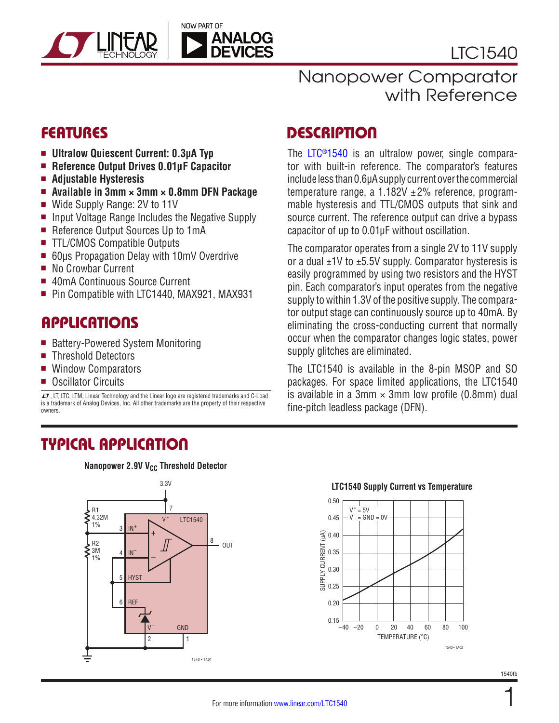

LTC1540

with Reference

- Ultralow Quiescent Current: 0.3µA Typ
- Reference Output Drives 0.01uF Capacitor
- <sup>n</sup> **Adjustable Hysteresis**
- <sup>n</sup> **Available in 3mm × 3mm × 0.8mm DFN Package**
- Wide Supply Range: 2V to 11V
- n Input Voltage Range Includes the Negative Supply
- Reference Output Sources Up to 1mA
- TTL/CMOS Compatible Outputs
- 60µs Propagation Delay with 10mV Overdrive
- No Crowbar Current
- 40mA Continuous Source Current
- Pin Compatible with LTC1440, MAX921, MAX931

### **APPLICATIONS**

- Battery-Powered System Monitoring
- Threshold Detectors
- **Window Comparators**
- Oscillator Circuits

 $\textbf{\textit{I}}$ , LT, LTC, LTM, Linear Technology and the Linear logo are registered trademarks and C-Load is a trademark of Analog Devices, Inc. All other trademarks are the property of their respective owners.

### TYPICAL APPLICATION

**Nanopower 2.9V V<sub>CC</sub> Threshold Detector** 



# FEATURES DESCRIPTION

The [LTC®1540](http://www.linear.com/LTC1540) is an ultralow power, single comparator with built-in reference. The comparator's features include less than 0.6µA supply current over the commercial temperature range, a  $1.182V \pm 2\%$  reference, programmable hysteresis and TTL/CMOS outputs that sink and source current. The reference output can drive a bypass capacitor of up to 0.01µF without oscillation.

Nanopower Comparator

The comparator operates from a single 2V to 11V supply or a dual  $\pm$ 1V to  $\pm$ 5.5V supply. Comparator hysteresis is easily programmed by using two resistors and the HYST pin. Each comparator's input operates from the negative supply to within 1.3V of the positive supply. The comparator output stage can continuously source up to 40mA. By eliminating the cross-conducting current that normally occur when the comparator changes logic states, power supply glitches are eliminated.

The LTC1540 is available in the 8-pin MSOP and SO packages. For space limited applications, the LTC1540 is available in a 3mm  $\times$  3mm low profile (0.8mm) dual fine-pitch leadless package (DFN).



#### **LTC1540 Supply Current vs Temperature**

1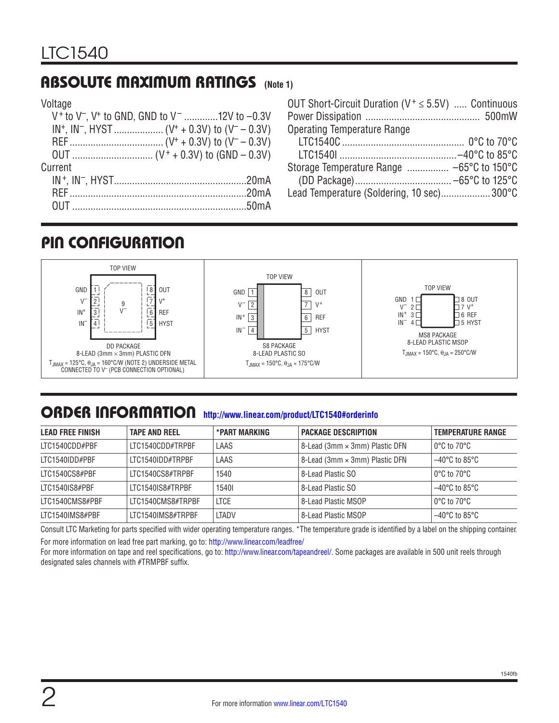### ABSOLUTE MAXIMUM RATINGS **(Note 1)**

#### Voltage

|         | V <sup>+</sup> to V <sup>-</sup> , V <sup>+</sup> to GND, GND to V <sup>-</sup> 12V to $-0.3V$ |
|---------|------------------------------------------------------------------------------------------------|
|         |                                                                                                |
|         |                                                                                                |
|         |                                                                                                |
| Current |                                                                                                |
|         |                                                                                                |
|         |                                                                                                |
|         |                                                                                                |
|         |                                                                                                |

| OUT Short-Circuit Duration ( $V^+ \le 5.5V$ )  Continuous |  |
|-----------------------------------------------------------|--|
| <b>Operating Temperature Range</b>                        |  |
|                                                           |  |
|                                                           |  |
|                                                           |  |
|                                                           |  |
| Lead Temperature (Soldering, 10 sec)300°C                 |  |

# PIN CONFIGURATION



### ORDER INFORMATION **<http://www.linear.com/product/LTC1540#orderinfo>**

| <b>LEAD FREE FINISH</b> | <b>TAPE AND REEL</b> | *PART MARKING | <b>PACKAGE DESCRIPTION</b>     | <b>TEMPERATURE RANGE</b>           |
|-------------------------|----------------------|---------------|--------------------------------|------------------------------------|
| LTC1540CDD#PBF          | ITC1540CDD#TRPBF     | LAAS          | 8-Lead (3mm × 3mm) Plastic DFN | l 0°C to 70°C                      |
| ITC1540IDD#PBF          | ITC1540IDD#TRPBF     | LAAS          | 8-Lead (3mm × 3mm) Plastic DFN | l –40°C to 85°C                    |
| LTC1540CS8#PBF          | ITC1540CS8#TRPBF     | 1540          | 8-Lead Plastic SO              | l 0°C to 70°C                      |
| LTC1540IS8#PBF          | ITC1540IS8#TRPBF     | 15401         | 8-Lead Plastic SO              | $-40^{\circ}$ C to 85 $^{\circ}$ C |
| LTC1540CMS8#PBF         | LTC1540CMS8#TRPBF    | <b>LTCE</b>   | 8-Lead Plastic MSOP            | l 0°C to 70°C                      |
| LTC1540IMS8#PBF         | LTC1540IMS8#TRPBF    | LTADV         | 8-Lead Plastic MSOP            | $-40^{\circ}$ C to 85°C            |

Consult LTC Marketing for parts specified with wider operating temperature ranges. \*The temperature grade is identified by a label on the shipping container. For more information on lead free part marking, go to: <http://www.linear.com/leadfree/>

For more information on tape and reel specifications, go to:<http://www.linear.com/tapeandreel/>. Some packages are available in 500 unit reels through designated sales channels with #TRMPBF suffix.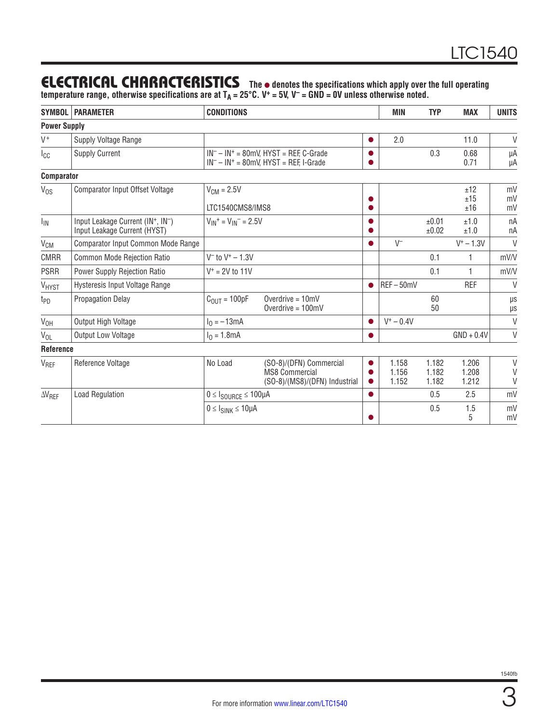# **ELECTRICAL CHARACTERISTICS** The  $\bullet$  denotes the specifications which apply over the full operating

temperature range, otherwise specifications are at T<sub>A</sub> = 25°C. V<sup>+</sup> = 5V, V<sup>-</sup> = GND = 0V unless otherwise noted.

| <b>SYMBOL</b>       | <b>PARAMETER</b>                                                 | <b>CONDITIONS</b>                                    |                                                                                          |                        | <b>MIN</b>              | <b>TYP</b>              | <b>MAX</b>              | <b>UNITS</b>          |
|---------------------|------------------------------------------------------------------|------------------------------------------------------|------------------------------------------------------------------------------------------|------------------------|-------------------------|-------------------------|-------------------------|-----------------------|
| <b>Power Supply</b> |                                                                  |                                                      |                                                                                          |                        |                         |                         |                         |                       |
| $V^+$               | Supply Voltage Range                                             |                                                      |                                                                                          | $\bullet$              | 2.0                     |                         | 11.0                    | V                     |
| <sub>I</sub> cc     | <b>Supply Current</b>                                            |                                                      | $IN^- - IN^+ = 80$ mV, HYST = REF, C-Grade<br>$IN^- - IN^+ = 80mV$ , HYST = REF, I-Grade |                        |                         | 0.3                     | 0.68<br>0.71            | μA<br>μA              |
| <b>Comparator</b>   |                                                                  |                                                      |                                                                                          |                        |                         |                         |                         |                       |
| $V_{OS}$            | <b>Comparator Input Offset Voltage</b>                           | $V_{CM} = 2.5V$<br>LTC1540CMS8/IMS8                  |                                                                                          |                        |                         |                         | ±12<br>±15<br>±16       | mV<br>mV<br>mV        |
| $I_{IN}$            | Input Leakage Current (IN+, IN-)<br>Input Leakage Current (HYST) | $V_{IN}$ <sup>+</sup> = $V_{IN}$ <sup>-</sup> = 2.5V |                                                                                          |                        |                         | ±0.01<br>±0.02          | ±1.0<br>±1.0            | nA<br>nA              |
| V <sub>CM</sub>     | Comparator Input Common Mode Range                               |                                                      |                                                                                          | $\bullet$              | $V^-$                   |                         | $V^+ - 1.3V$            | $\vee$                |
| <b>CMRR</b>         | Common Mode Rejection Ratio                                      | $V^-$ to $V^+ - 1.3V$                                |                                                                                          |                        |                         | 0.1                     |                         | mV/V                  |
| <b>PSRR</b>         | <b>Power Supply Rejection Ratio</b>                              | $V^+ = 2V$ to 11V                                    |                                                                                          |                        |                         | 0.1                     | 1                       | mV/V                  |
| VHYST               | Hysteresis Input Voltage Range                                   |                                                      |                                                                                          | $\bullet$              | REF-50mV                |                         | <b>REF</b>              | $\vee$                |
| t <sub>PD</sub>     | <b>Propagation Delay</b>                                         | $C_{\text{OUT}} = 100pF$                             | Overdrive $= 10$ mV<br>Overdrive = $100mV$                                               |                        |                         | 60<br>50                |                         | μs<br>$\mu\text{s}$   |
| V <sub>OH</sub>     | Output High Voltage                                              | $I_0 = -13mA$                                        |                                                                                          |                        | $V^+ - 0.4V$            |                         |                         | $\vee$                |
| $V_{OL}$            | Output Low Voltage                                               | $I_0 = 1.8mA$                                        |                                                                                          |                        |                         |                         | $GND + 0.4V$            | V                     |
| Reference           |                                                                  |                                                      |                                                                                          |                        |                         |                         |                         |                       |
| V <sub>REF</sub>    | Reference Voltage                                                | No Load                                              | (SO-8)/(DFN) Commercial<br><b>MS8 Commercial</b><br>(SO-8)/(MS8)/(DFN) Industrial        | $\bullet$<br>$\bullet$ | 1.158<br>1.156<br>1.152 | 1.182<br>1.182<br>1.182 | 1.206<br>1.208<br>1.212 | $\vee$<br>V<br>$\vee$ |
| $\Delta V_{REF}$    | <b>Load Regulation</b>                                           | $0 \leq I_{\text{SOURCE}} \leq 100 \mu A$            |                                                                                          |                        |                         | 0.5                     | 2.5                     | mV                    |
|                     |                                                                  | $0 \leq l_{SINK} \leq 10 \mu A$                      |                                                                                          |                        |                         | 0.5                     | 1.5<br>5                | mV<br>mV              |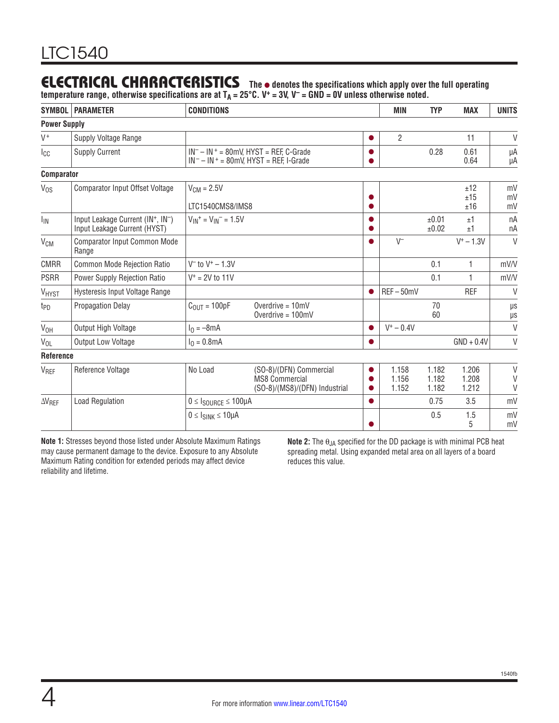#### **The** l **denotes the specifications which apply over the full operating**  ELECTRICAL CHARACTERISTICS

temperature range, otherwise specifications are at T<sub>A</sub> = 25°C. V<sup>+</sup> = 3V, V<sup>-</sup> = GND = 0V unless otherwise noted.

| <b>SYMBOL</b>       | <b>PARAMETER</b>                                                 | <b>CONDITIONS</b>                                    |                                                                                          | <b>MIN</b>              | <b>TYP</b>              | <b>MAX</b>              | <b>UNITS</b>               |
|---------------------|------------------------------------------------------------------|------------------------------------------------------|------------------------------------------------------------------------------------------|-------------------------|-------------------------|-------------------------|----------------------------|
| <b>Power Supply</b> |                                                                  |                                                      |                                                                                          |                         |                         |                         |                            |
| $V^+$               | Supply Voltage Range                                             |                                                      |                                                                                          | $\overline{2}$          |                         | 11                      | $\vee$                     |
| $I_{\rm CC}$        | <b>Supply Current</b>                                            |                                                      | $IN^- - IN^+ = 80mV$ , HYST = REF, C-Grade<br>$IN^- - IN^+ = 80$ mV, HYST = REF, I-Grade |                         | 0.28                    | 0.61<br>0.64            | μA<br>μA                   |
| <b>Comparator</b>   |                                                                  |                                                      |                                                                                          |                         |                         |                         |                            |
| $V_{OS}$            | <b>Comparator Input Offset Voltage</b>                           | $V_{CM} = 2.5V$<br>LTC1540CMS8/IMS8                  |                                                                                          |                         |                         | ±12<br>±15<br>±16       | mV<br>mV<br>mV             |
| <sup>I</sup> IN     | Input Leakage Current (IN+, IN-)<br>Input Leakage Current (HYST) | $V_{IN}$ <sup>+</sup> = $V_{IN}$ <sup>-</sup> = 1.5V |                                                                                          |                         | ±0.01<br>±0.02          | ±1<br>±1                | nA<br>nA                   |
| V <sub>CM</sub>     | <b>Comparator Input Common Mode</b><br>Range                     |                                                      |                                                                                          | $V^-$                   |                         | $V^+ - 1.3V$            | $\vee$                     |
| <b>CMRR</b>         | Common Mode Rejection Ratio                                      | $V^-$ to $V^+ - 1.3V$                                |                                                                                          |                         | 0.1                     | 1                       | mV/V                       |
| <b>PSRR</b>         | <b>Power Supply Rejection Ratio</b>                              | $V^+ = 2V$ to 11V                                    |                                                                                          |                         | 0.1                     | 1                       | mV/V                       |
| VHYST               | Hysteresis Input Voltage Range                                   |                                                      |                                                                                          | $REF-50mV$              |                         | <b>REF</b>              | V                          |
| t <sub>PD</sub>     | <b>Propagation Delay</b>                                         | $COUT = 100pF$                                       | Overdrive = $10mV$<br>Overdrive $= 100$ mV                                               |                         | 70<br>60                |                         | μs<br>$\mu s$              |
| V <sub>OH</sub>     | Output High Voltage                                              | $I_0 = -8mA$                                         |                                                                                          | $V^+ - 0.4V$            |                         |                         | $\vee$                     |
| $V_{OL}$            | <b>Output Low Voltage</b>                                        | $I_0 = 0.8$ mA                                       |                                                                                          |                         |                         | $GND + 0.4V$            | $\vee$                     |
| Reference           |                                                                  |                                                      |                                                                                          |                         |                         |                         |                            |
| VREF                | Reference Voltage                                                | No Load                                              | (SO-8)/(DFN) Commercial<br><b>MS8 Commercial</b><br>(SO-8)/(MS8)/(DFN) Industrial        | 1.158<br>1.156<br>1.152 | 1.182<br>1.182<br>1.182 | 1.206<br>1.208<br>1.212 | $\vee$<br>$\vee$<br>$\vee$ |
| $\Delta V_{REF}$    | <b>Load Regulation</b>                                           | $0 \leq I_{\text{SOLRCE}} \leq 100 \mu A$            |                                                                                          |                         | 0.75                    | 3.5                     | mV                         |
|                     |                                                                  | $0 \leq l_{SINK} \leq 10 \mu A$                      |                                                                                          |                         | 0.5                     | 1.5<br>5                | mV<br>mV                   |

**Note 1:** Stresses beyond those listed under Absolute Maximum Ratings may cause permanent damage to the device. Exposure to any Absolute Maximum Rating condition for extended periods may affect device reliability and lifetime.

**Note 2:** The θ<sub>JA</sub> specified for the DD package is with minimal PCB heat spreading metal. Using expanded metal area on all layers of a board reduces this value.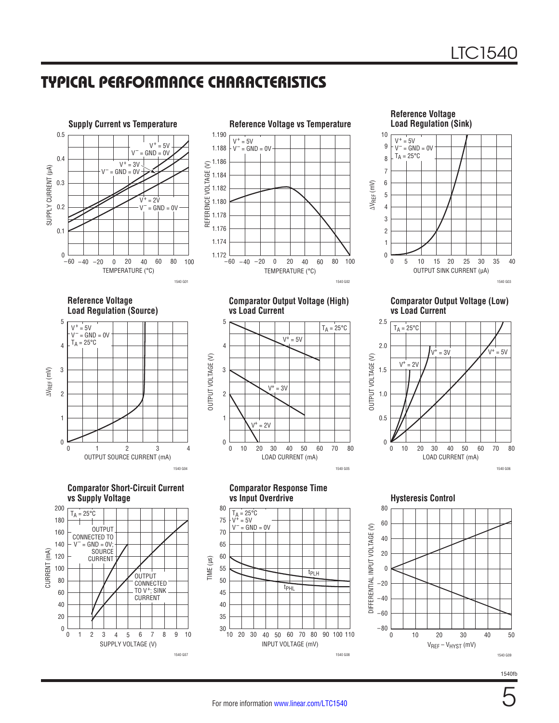# TYPICAL PERFORMANCE CHARACTERISTICS

1.186

1.190 1.188

 $V^+ = 5V$  $V^-$  = GND = 0V





**Reference Voltage vs Temperature** 

**Reference Voltage Load Regulation (Source)**







**Comparator Output Voltage (High) vs Load Current**



**Reference Voltage**  OUTPUT SINK CURRENT (µA)  $\overline{0}$ 0 ∆VREF (mV) 1 3 4 5 10 7 10 20 25 1540 G03 2 8 9 6 5 15 30 35 40  $V^+ = 5V$  $V^-$  = GND = 0V  $T_A = 25^{\circ}C$ 

**Comparator Output Voltage (Low) vs Load Current**



**Comparator Response Time**



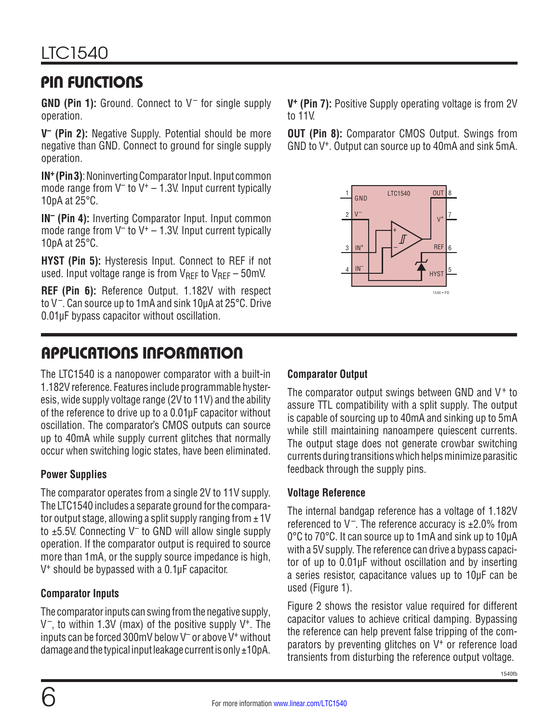# PIN FUNCTIONS

**GND (Pin 1):** Ground. Connect to V– for single supply operation.

**V– (Pin 2):** Negative Supply. Potential should be more negative than GND. Connect to ground for single supply operation.

**IN+ (Pin 3)**: Noninverting Comparator Input. Input common mode range from  $V^-$  to  $V^+$  – 1.3V. Input current typically 10pA at 25°C.

**IN– (Pin 4):** Inverting Comparator Input. Input common mode range from  $V^-$  to  $V^+$  – 1.3V. Input current typically 10pA at 25°C.

**HYST (Pin 5):** Hysteresis Input. Connect to REF if not used. Input voltage range is from  $V_{\text{RFF}}$  to  $V_{\text{RFF}}$  – 50mV.

**REF (Pin 6):** Reference Output. 1.182V with respect to V–. Can source up to 1mA and sink 10µA at 25°C. Drive 0.01µF bypass capacitor without oscillation.

# APPLICATIONS INFORMATION

The LTC1540 is a nanopower comparator with a built-in 1.182V reference. Features include programmable hysteresis, wide supply voltage range (2V to 11V) and the ability of the reference to drive up to a 0.01µF capacitor without oscillation. The comparator's CMOS outputs can source up to 40mA while supply current glitches that normally occur when switching logic states, have been eliminated.

### **Power Supplies**

The comparator operates from a single 2V to 11V supply. The LTC1540 includes a separate ground for the comparator output stage, allowing a split supply ranging from  $\pm 1V$ to  $\pm$ 5.5V. Connecting V<sup>-</sup> to GND will allow single supply operation. If the comparator output is required to source more than 1mA, or the supply source impedance is high, V+ should be bypassed with a 0.1µF capacitor.

#### **Comparator Inputs**

The comparator inputs can swing from the negative supply,  $V^-$ , to within 1.3V (max) of the positive supply  $V^+$ . The inputs can be forced 300mV below V– or above V+ without damage and the typical input leakage current is only  $\pm 10pA$ . **V+ (Pin 7):** Positive Supply operating voltage is from 2V to 11V.

**OUT (Pin 8):** Comparator CMOS Output. Swings from GND to V+. Output can source up to 40mA and sink 5mA.



#### **Comparator Output**

The comparator output swings between GND and  $V^+$  to assure TTL compatibility with a split supply. The output is capable of sourcing up to 40mA and sinking up to 5mA while still maintaining nanoampere quiescent currents. The output stage does not generate crowbar switching currents during transitions which helps minimize parasitic feedback through the supply pins.

#### **Voltage Reference**

The internal bandgap reference has a voltage of 1.182V referenced to  $V^-$ . The reference accuracy is  $\pm 2.0\%$  from 0°C to 70°C. It can source up to 1mA and sink up to 10µA with a 5V supply. The reference can drive a bypass capacitor of up to 0.01µF without oscillation and by inserting a series resistor, capacitance values up to 10µF can be used (Figure 1).

Figure 2 shows the resistor value required for different capacitor values to achieve critical damping. Bypassing the reference can help prevent false tripping of the comparators by preventing glitches on V+ or reference load transients from disturbing the reference output voltage.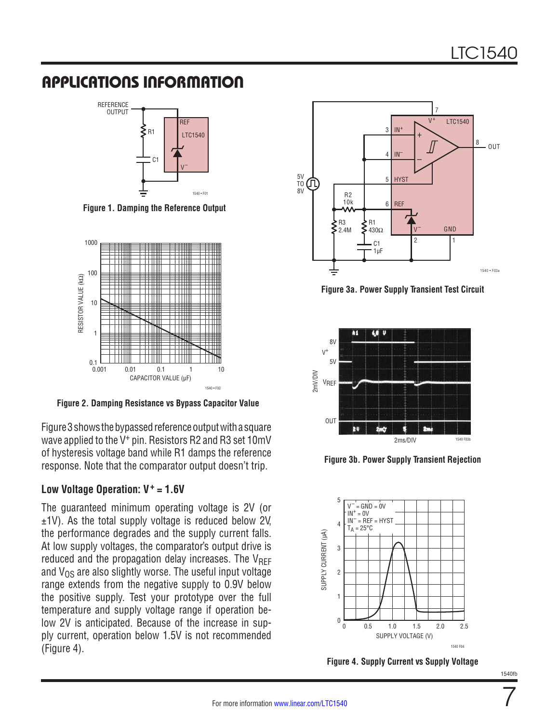# APPLICATIONS INFORMATION



**Figure 1. Damping the Reference Output**



**Figure 2. Damping Resistance vs Bypass Capacitor Value**

Figure 3 shows the bypassed reference output with a square wave applied to the V<sup>+</sup> pin. Resistors R2 and R3 set 10mV of hysteresis voltage band while R1 damps the reference response. Note that the comparator output doesn't trip.

#### **Low Voltage Operation: V+ = 1.6V**

The guaranteed minimum operating voltage is 2V (or ±1V). As the total supply voltage is reduced below 2V, the performance degrades and the supply current falls. At low supply voltages, the comparator's output drive is reduced and the propagation delay increases. The  $V_{RFF}$ and  $V_{OS}$  are also slightly worse. The useful input voltage range extends from the negative supply to 0.9V below the positive supply. Test your prototype over the full temperature and supply voltage range if operation below 2V is anticipated. Because of the increase in supply current, operation below 1.5V is not recommended (Figure 4).



**Figure 3a. Power Supply Transient Test Circuit**



**Figure 3b. Power Supply Transient Rejection**



**Figure 4. Supply Current vs Supply Voltage**

7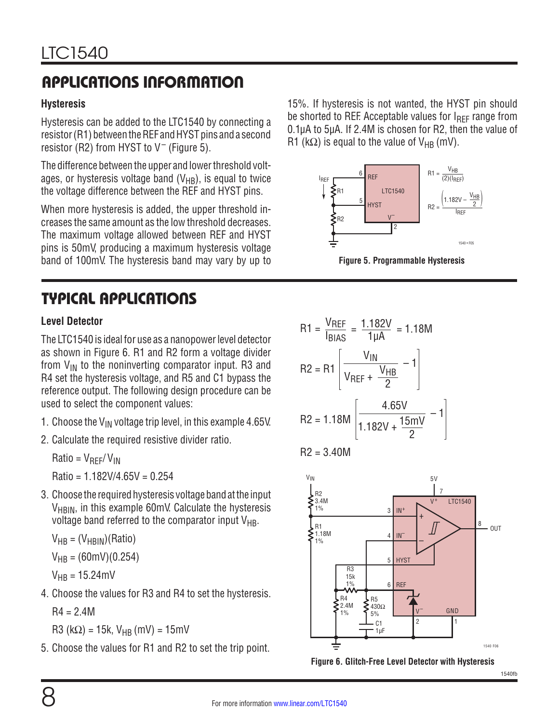# APPLICATIONS INFORMATION

#### **Hysteresis**

Hysteresis can be added to the LTC1540 by connecting a resistor (R1) between the REF and HYST pins and a second resistor (R2) from HYST to  $V^-$  (Figure 5).

The difference between the upper and lower threshold voltages, or hysteresis voltage band  $(V_{HB})$ , is equal to twice the voltage difference between the REF and HYST pins.

When more hysteresis is added, the upper threshold increases the same amount as the low threshold decreases. The maximum voltage allowed between REF and HYST pins is 50mV, producing a maximum hysteresis voltage band of 100mV. The hysteresis band may vary by up to

# TYPICAL APPLICATIONS

#### **Level Detector**

The LTC1540 is ideal for use as a nanopower level detector as shown in Figure 6. R1 and R2 form a voltage divider from  $V_{IN}$  to the noninverting comparator input. R3 and R4 set the hysteresis voltage, and R5 and C1 bypass the reference output. The following design procedure can be used to select the component values:

- 1. Choose the  $V_{IN}$  voltage trip level, in this example 4.65V.
- 2. Calculate the required resistive divider ratio.

 $Ratio = V_{REF}/V_{IN}$ 

 $Ratio = 1.182V/4.65V = 0.254$ 

3. Choose the required hysteresis voltage band at the input V<sub>HBIN</sub>, in this example 60mV. Calculate the hysteresis voltage band referred to the comparator input  $V_{HB}$ .

 $V_{HB} = (V_{HBIN})(Ratio)$ 

$$
V_{HB} = (60 \text{mV})(0.254)
$$

 $V_{HR} = 15.24 \text{mV}$ 

4. Choose the values for R3 and R4 to set the hysteresis.

 $R4 = 2.4M$ 

R3 (kΩ) = 15k, VHB (mV) = 15mV

5. Choose the values for R1 and R2 to set the trip point.

15%. If hysteresis is not wanted, the HYST pin should be shorted to REF. Acceptable values for  $I_{\text{RFF}}$  range from 0.1µA to 5µA. If 2.4M is chosen for R2, then the value of R1 (k $\Omega$ ) is equal to the value of V<sub>HB</sub> (mV).



**Figure 5. Programmable Hysteresis**



$$
R2 = 3.40M
$$



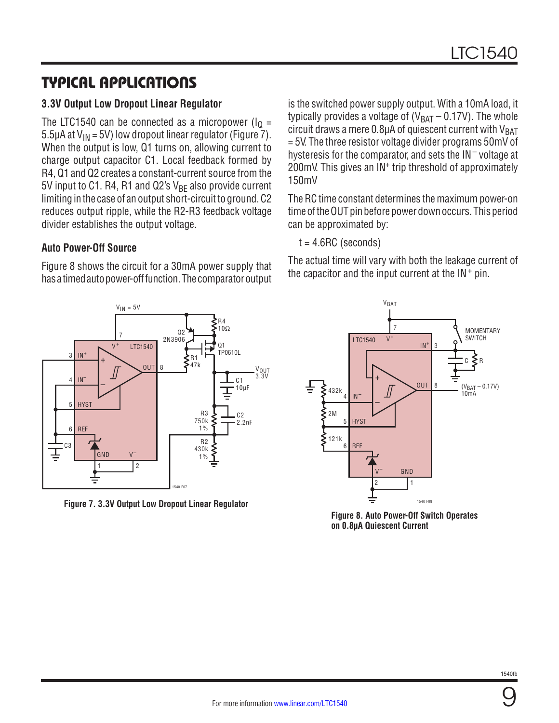# TYPICAL APPLICATIONS

#### **3.3V Output Low Dropout Linear Regulator**

The LTC1540 can be connected as a micropower ( $I<sub>Q</sub>$  = 5.5µA at  $V_{IN}$  = 5V) low dropout linear regulator (Figure 7). When the output is low, Q1 turns on, allowing current to charge output capacitor C1. Local feedback formed by R4, Q1 and Q2 creates a constant-current source from the 5V input to C1. R4, R1 and Q2's  $V_{BF}$  also provide current limiting in the case of an output short-circuit to ground. C2 reduces output ripple, while the R2-R3 feedback voltage divider establishes the output voltage.

#### **Auto Power-Off Source**

Figure 8 shows the circuit for a 30mA power supply that has a timed auto power-off function. The comparator output

is the switched power supply output. With a 10mA load, it typically provides a voltage of  $(V_{BAT} - 0.17V)$ . The whole circuit draws a mere  $0.8\mu$ A of quiescent current with  $V_{BAT}$ = 5V. The three resistor voltage divider programs 50mV of hysteresis for the comparator, and sets the IN<sup>-</sup> voltage at 200mV. This gives an IN<sup>+</sup> trip threshold of approximately 150mV

The RC time constant determines the maximum power-on time of the OUT pin before power down occurs. This period can be approximated by:

 $t = 4.6$ RC (seconds)

The actual time will vary with both the leakage current of the capacitor and the input current at the  $IN<sup>+</sup>$  pin.



**Figure 7. 3.3V Output Low Dropout Linear Regulator**



**Figure 8. Auto Power-Off Switch Operates on 0.8µA Quiescent Current**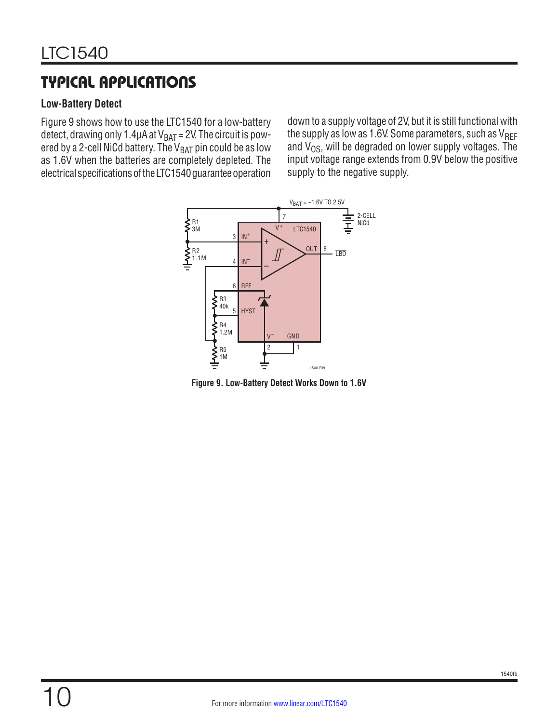# TYPICAL APPLICATIONS

#### **Low-Battery Detect**

Figure 9 shows how to use the LTC1540 for a low-battery detect, drawing only 1.4 $\mu$ A at  $V_{BAT} = 2V$ . The circuit is powered by a 2-cell NiCd battery. The  $V_{BAT}$  pin could be as low as 1.6V when the batteries are completely depleted. The electrical specifications of the LTC1540 guarantee operation

down to a supply voltage of 2V, but it is still functional with the supply as low as 1.6V. Some parameters, such as  $V_{REF}$ and  $V_{OS}$ , will be degraded on lower supply voltages. The input voltage range extends from 0.9V below the positive supply to the negative supply.



**Figure 9. Low-Battery Detect Works Down to 1.6V**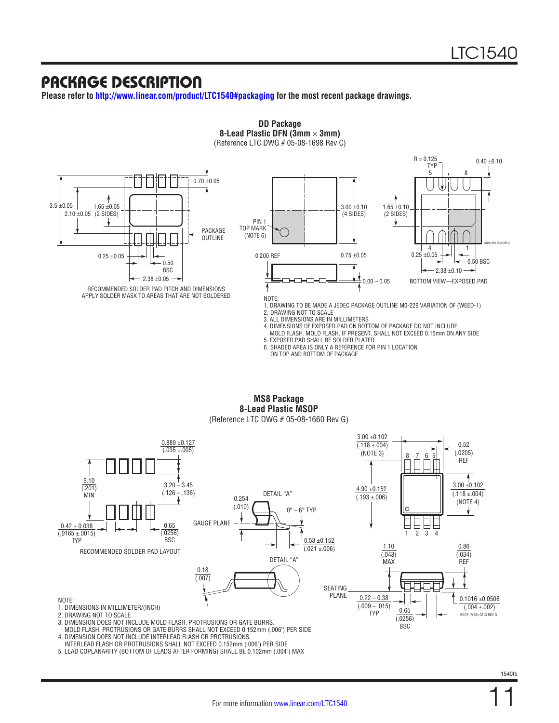### PACKAGE DESCRIPTION

**Please refer to <http://www.linear.com/product/LTC1540#packaging>for the most recent package drawings.**



**MS8 Package 8-Lead Plastic MSOP**

(Reference LTC DWG # 05-08-1660 Rev G)



MOLD FLASH, PROTRUSIONS OR GATE BURRS SHALL NOT EXCEED 0.152mm (.006") PER SIDE

4. DIMENSION DOES NOT INCLUDE INTERLEAD FLASH OR PROTRUSIONS.

INTERLEAD FLASH OR PROTRUSIONS SHALL NOT EXCEED 0.152mm (.006") PER SIDE

5. LEAD COPLANARITY (BOTTOM OF LEADS AFTER FORMING) SHALL BE 0.102mm (.004") MAX

11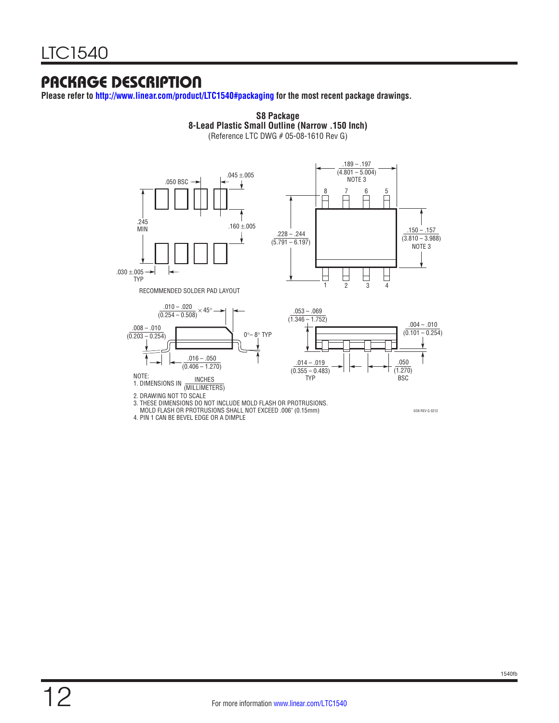## PACKAGE DESCRIPTION

**Please refer to <http://www.linear.com/product/LTC1540#packaging> for the most recent package drawings.**



**S8 Package**

4. PIN 1 CAN BE BEVEL EDGE OR A DIMPLE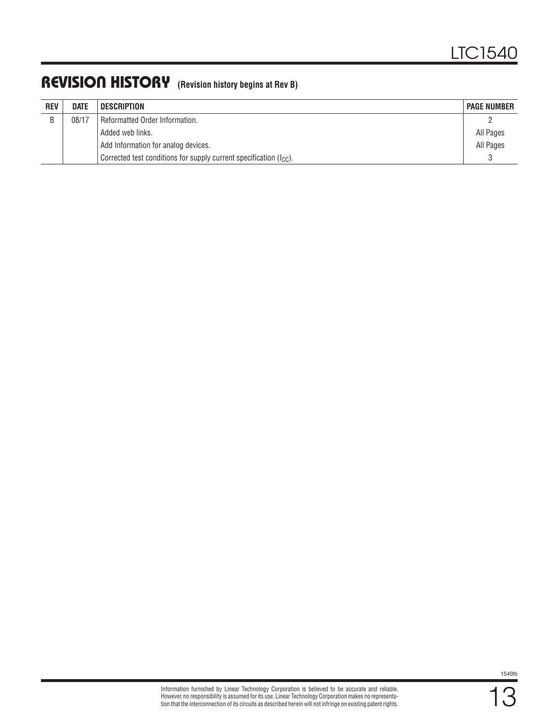# REVISION HISTORY **(Revision history begins at Rev B)**

| <b>REV</b> | <b>DATE</b> | <b>DESCRIPTION</b>                                                      | <b>PAGE NUMBER</b> |
|------------|-------------|-------------------------------------------------------------------------|--------------------|
| R          | 08/17       | Reformatted Order Information.                                          |                    |
|            |             | Added web links.                                                        | All Pages          |
|            |             | Add Information for analog devices.                                     | All Pages          |
|            |             | Corrected test conditions for supply current specification $(I_{CC})$ . |                    |